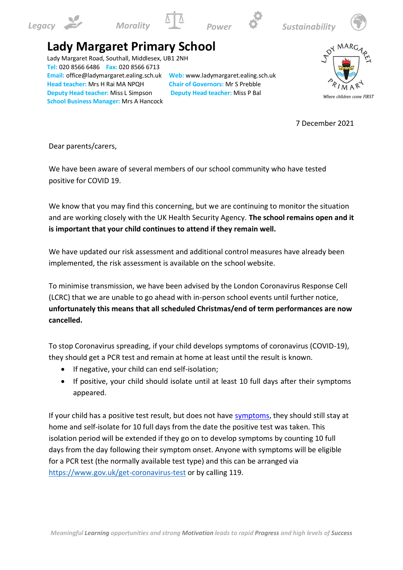









## **Lady Margaret Primary School**

Lady Margaret Road, Southall, Middlesex, UB1 2NH **Tel:** 020 8566 6486 **Fax:** 020 8566 6713 **Email:** office@ladymargaret.ealing.sch.uk **Web:** www.ladymargaret.ealing.sch.uk **Head teacher:** Mrs H Rai MA NPQH **Chair of Governors:** Mr S Prebble **Deputy Head teacher:** Miss L Simpson **Deputy Head teacher:** Miss P Bal **School Business Manager:** Mrs A Hancock



7 December 2021

Dear parents/carers,

We have been aware of several members of our school community who have tested positive for COVID 19.

We know that you may find this concerning, but we are continuing to monitor the situation and are working closely with the UK Health Security Agency. **The school remains open and it is important that your child continues to attend if they remain well.** 

We have updated our risk assessment and additional control measures have already been implemented, the risk assessment is available on the school website.

To minimise transmission, we have been advised by the London Coronavirus Response Cell (LCRC) that we are unable to go ahead with in-person school events until further notice, **unfortunately this means that all scheduled Christmas/end of term performances are now cancelled.**

To stop Coronavirus spreading, if your child develops symptoms of coronavirus (COVID-19), they should get a PCR test and remain at home at least until the result is known.

- If negative, your child can end self-isolation;
- If positive, your child should isolate until at least 10 full days after their symptoms appeared.

If your child has a positive test result, but does not have symptoms, they should still stay at home and self-isolate for 10 full days from the date the positive test was taken. This isolation period will be extended if they go on to develop symptoms by counting 10 full days from the day following their symptom onset. Anyone with symptoms will be eligible for a PCR test (the normally available test type) and this can be arranged via https:/[/www.gov.uk/get-coronavirus-test](http://www.gov.uk/get-coronavirus-test) [or](http://www.gov.uk/get-coronavirus-test) by calling 119.